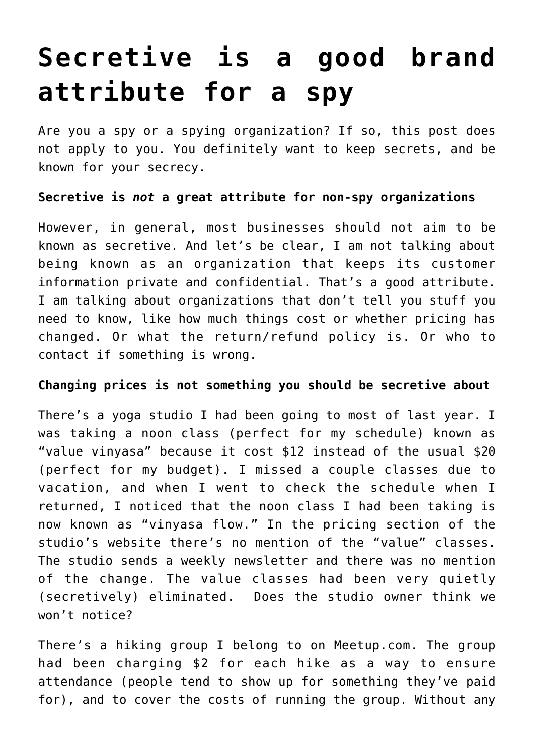## **[Secretive is a good brand](https://deborahbrody.com/2018/02/secretive-is-a-good-brand-attribute-for-a-spy/) [attribute for a spy](https://deborahbrody.com/2018/02/secretive-is-a-good-brand-attribute-for-a-spy/)**

Are you a spy or a spying organization? If so, this post does not apply to you. You definitely want to keep secrets, and be known for your secrecy.

## **Secretive is** *not* **a great attribute for non-spy organizations**

However, in general, most businesses should not aim to be known as secretive. And let's be clear, I am not talking about being known as an organization that keeps its customer information private and confidential. That's a good attribute. I am talking about organizations that don't tell you stuff you need to know, like how much things cost or whether pricing has changed. Or what the return/refund policy is. Or who to contact if something is wrong.

## **Changing prices is not something you should be secretive about**

There's a yoga studio I had been going to most of last year. I was taking a noon class (perfect for my schedule) known as "value vinyasa" because it cost \$12 instead of the usual \$20 (perfect for my budget). I missed a couple classes due to vacation, and when I went to check the schedule when I returned, I noticed that the noon class I had been taking is now known as "vinyasa flow." In the pricing section of the studio's website there's no mention of the "value" classes. The studio sends a weekly newsletter and there was no mention of the change. The value classes had been very quietly (secretively) eliminated. Does the studio owner think we won't notice?

There's a hiking group I belong to on Meetup.com. The group had been charging \$2 for each hike as a way to ensure attendance (people tend to show up for something they've paid for), and to cover the costs of running the group. Without any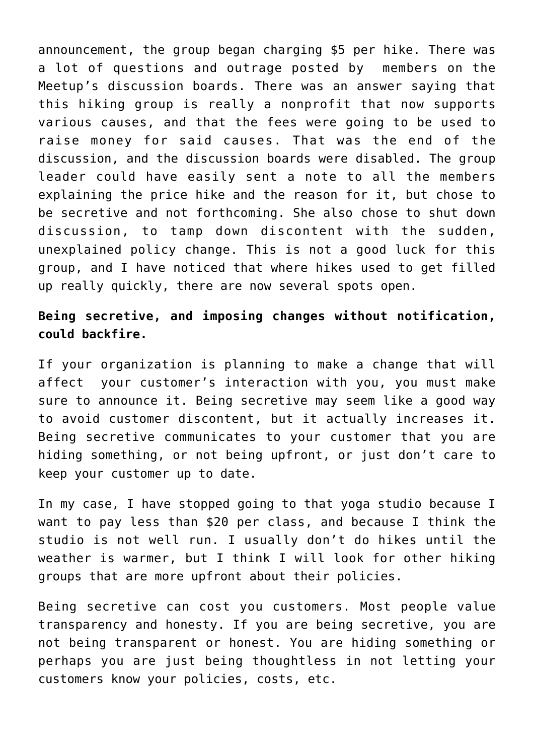announcement, the group began charging \$5 per hike. There was a lot of questions and outrage posted by members on the Meetup's discussion boards. There was an answer saying that this hiking group is really a nonprofit that now supports various causes, and that the fees were going to be used to raise money for said causes. That was the end of the discussion, and the discussion boards were disabled. The group leader could have easily sent a note to all the members explaining the price hike and the reason for it, but chose to be secretive and not forthcoming. She also chose to shut down discussion, to tamp down discontent with the sudden, unexplained policy change. This is not a good luck for this group, and I have noticed that where hikes used to get filled up really quickly, there are now several spots open.

## **Being secretive, and imposing changes without notification, could backfire.**

If your organization is planning to make a change that will affect your customer's interaction with you, you must make sure to announce it. Being secretive may seem like a good way to avoid customer discontent, but it actually increases it. Being secretive communicates to your customer that you are hiding something, or not being upfront, or just don't care to keep your customer up to date.

In my case, I have stopped going to that yoga studio because I want to pay less than \$20 per class, and because I think the studio is not well run. I usually don't do hikes until the weather is warmer, but I think I will look for other hiking groups that are more upfront about their policies.

Being secretive can cost you customers. Most people value transparency and honesty. If you are being secretive, you are not being transparent or honest. You are hiding something or perhaps you are just being thoughtless in not letting your customers know your policies, costs, etc.